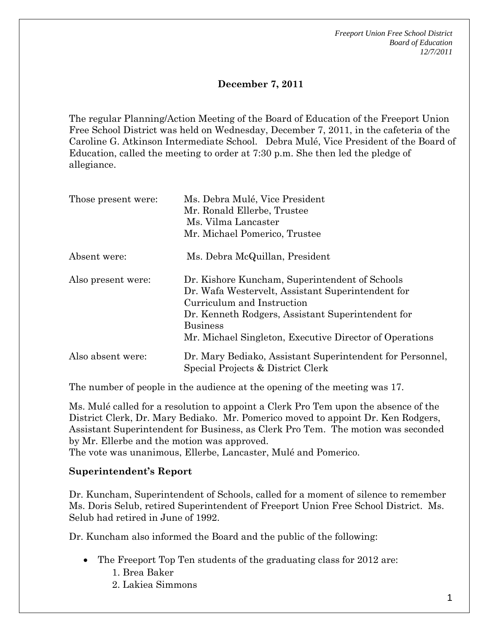*Freeport Union Free School District Board of Education 12/7/2011* 

## **December 7, 2011**

The regular Planning/Action Meeting of the Board of Education of the Freeport Union Free School District was held on Wednesday, December 7, 2011, in the cafeteria of the Caroline G. Atkinson Intermediate School. Debra Mulé, Vice President of the Board of Education, called the meeting to order at 7:30 p.m. She then led the pledge of allegiance.

| Those present were: | Ms. Debra Mulé, Vice President<br>Mr. Ronald Ellerbe, Trustee<br>Ms. Vilma Lancaster<br>Mr. Michael Pomerico, Trustee                                                                                                                                                |
|---------------------|----------------------------------------------------------------------------------------------------------------------------------------------------------------------------------------------------------------------------------------------------------------------|
| Absent were:        | Ms. Debra McQuillan, President                                                                                                                                                                                                                                       |
| Also present were:  | Dr. Kishore Kuncham, Superintendent of Schools<br>Dr. Wafa Westervelt, Assistant Superintendent for<br>Curriculum and Instruction<br>Dr. Kenneth Rodgers, Assistant Superintendent for<br><b>Business</b><br>Mr. Michael Singleton, Executive Director of Operations |
| Also absent were:   | Dr. Mary Bediako, Assistant Superintendent for Personnel,<br>Special Projects & District Clerk                                                                                                                                                                       |

The number of people in the audience at the opening of the meeting was 17.

Ms. Mulé called for a resolution to appoint a Clerk Pro Tem upon the absence of the District Clerk, Dr. Mary Bediako. Mr. Pomerico moved to appoint Dr. Ken Rodgers, Assistant Superintendent for Business, as Clerk Pro Tem. The motion was seconded by Mr. Ellerbe and the motion was approved.

The vote was unanimous, Ellerbe, Lancaster, Mulé and Pomerico.

#### **Superintendent's Report**

Dr. Kuncham, Superintendent of Schools, called for a moment of silence to remember Ms. Doris Selub, retired Superintendent of Freeport Union Free School District. Ms. Selub had retired in June of 1992.

Dr. Kuncham also informed the Board and the public of the following:

- The Freeport Top Ten students of the graduating class for 2012 are:
	- 1. Brea Baker
	- 2. Lakiea Simmons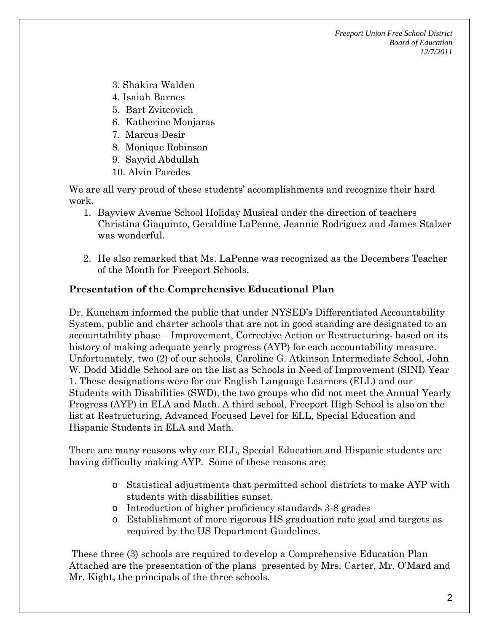- 3. Shakira Walden
- 4. Isaiah Barnes
- 5. Bart Zvitcovich
- 6. Katherine Monjaras
- 7. Marcus Desir
- 8. Monique Robinson
- 9. Sayyid Abdullah
- 10. Alvin Paredes

We are all very proud of these students' accomplishments and recognize their hard work.

- 1. Bayview Avenue School Holiday Musical under the direction of teachers Christina Giaquinto, Geraldine LaPenne, Jeannie Rodriguez and James Stalzer was wonderful.
- 2. He also remarked that Ms. LaPenne was recognized as the Decembers Teacher of the Month for Freeport Schools.

#### **Presentation of the Comprehensive Educational Plan**

Dr. Kuncham informed the public that under NYSED's Differentiated Accountability System, public and charter schools that are not in good standing are designated to an accountability phase – Improvement, Corrective Action or Restructuring- based on its history of making adequate yearly progress (AYP) for each accountability measure. Unfortunately, two (2) of our schools, Caroline G. Atkinson Intermediate School, John W. Dodd Middle School are on the list as Schools in Need of Improvement (SINI) Year 1. These designations were for our English Language Learners (ELL) and our Students with Disabilities (SWD), the two groups who did not meet the Annual Yearly Progress (AYP) in ELA and Math. A third school, Freeport High School is also on the list at Restructuring, Advanced Focused Level for ELL, Special Education and Hispanic Students in ELA and Math.

There are many reasons why our ELL, Special Education and Hispanic students are having difficulty making AYP. Some of these reasons are;

- o Statistical adjustments that permitted school districts to make AYP with students with disabilities sunset.
- o Introduction of higher proficiency standards 3-8 grades
- o Establishment of more rigorous HS graduation rate goal and targets as required by the US Department Guidelines.

 These three (3) schools are required to develop a Comprehensive Education Plan Attached are the presentation of the plans presented by Mrs. Carter, Mr. O'Mard and Mr. Kight, the principals of the three schools.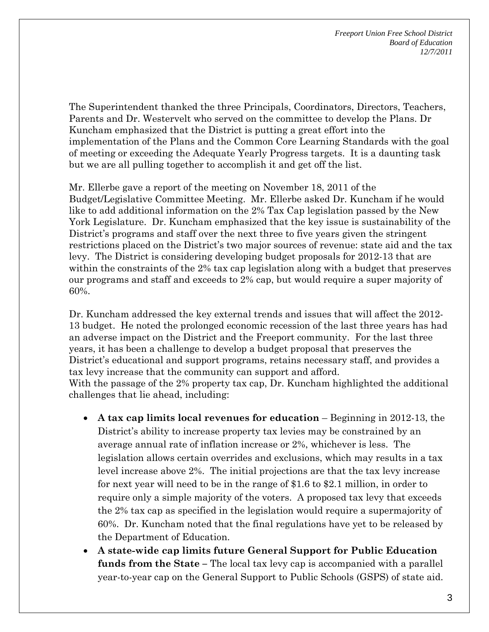The Superintendent thanked the three Principals, Coordinators, Directors, Teachers, Parents and Dr. Westervelt who served on the committee to develop the Plans. Dr Kuncham emphasized that the District is putting a great effort into the implementation of the Plans and the Common Core Learning Standards with the goal of meeting or exceeding the Adequate Yearly Progress targets. It is a daunting task but we are all pulling together to accomplish it and get off the list.

Mr. Ellerbe gave a report of the meeting on November 18, 2011 of the Budget/Legislative Committee Meeting. Mr. Ellerbe asked Dr. Kuncham if he would like to add additional information on the 2% Tax Cap legislation passed by the New York Legislature. Dr. Kuncham emphasized that the key issue is sustainability of the District's programs and staff over the next three to five years given the stringent restrictions placed on the District's two major sources of revenue: state aid and the tax levy. The District is considering developing budget proposals for 2012-13 that are within the constraints of the 2% tax cap legislation along with a budget that preserves our programs and staff and exceeds to 2% cap, but would require a super majority of 60%.

Dr. Kuncham addressed the key external trends and issues that will affect the 2012- 13 budget. He noted the prolonged economic recession of the last three years has had an adverse impact on the District and the Freeport community. For the last three years, it has been a challenge to develop a budget proposal that preserves the District's educational and support programs, retains necessary staff, and provides a tax levy increase that the community can support and afford. With the passage of the 2% property tax cap, Dr. Kuncham highlighted the additional challenges that lie ahead, including:

- **A tax cap limits local revenues for education** Beginning in 2012-13, the District's ability to increase property tax levies may be constrained by an average annual rate of inflation increase or 2%, whichever is less. The legislation allows certain overrides and exclusions, which may results in a tax level increase above 2%. The initial projections are that the tax levy increase for next year will need to be in the range of \$1.6 to \$2.1 million, in order to require only a simple majority of the voters. A proposed tax levy that exceeds the 2% tax cap as specified in the legislation would require a supermajority of 60%. Dr. Kuncham noted that the final regulations have yet to be released by the Department of Education.
- **A state-wide cap limits future General Support for Public Education funds from the State –** The local tax levy cap is accompanied with a parallel year-to-year cap on the General Support to Public Schools (GSPS) of state aid.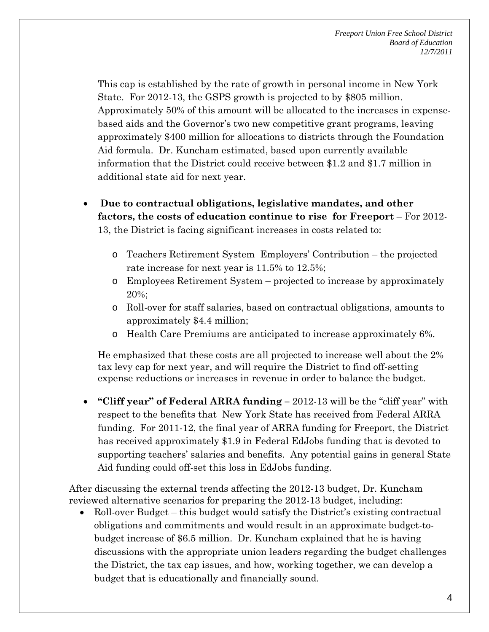This cap is established by the rate of growth in personal income in New York State. For 2012-13, the GSPS growth is projected to by \$805 million. Approximately 50% of this amount will be allocated to the increases in expensebased aids and the Governor's two new competitive grant programs, leaving approximately \$400 million for allocations to districts through the Foundation Aid formula. Dr. Kuncham estimated, based upon currently available information that the District could receive between \$1.2 and \$1.7 million in additional state aid for next year.

- **Due to contractual obligations, legislative mandates, and other factors, the costs of education continue to rise for Freeport** – For 2012- 13, the District is facing significant increases in costs related to:
	- o Teachers Retirement System Employers' Contribution the projected rate increase for next year is 11.5% to 12.5%;
	- o Employees Retirement System projected to increase by approximately 20%;
	- o Roll-over for staff salaries, based on contractual obligations, amounts to approximately \$4.4 million;
	- o Health Care Premiums are anticipated to increase approximately 6%.

He emphasized that these costs are all projected to increase well about the 2% tax levy cap for next year, and will require the District to find off-setting expense reductions or increases in revenue in order to balance the budget.

 **"Cliff year" of Federal ARRA funding –** 2012-13 will be the "cliff year" with respect to the benefits that New York State has received from Federal ARRA funding. For 2011-12, the final year of ARRA funding for Freeport, the District has received approximately \$1.9 in Federal EdJobs funding that is devoted to supporting teachers' salaries and benefits. Any potential gains in general State Aid funding could off-set this loss in EdJobs funding.

After discussing the external trends affecting the 2012-13 budget, Dr. Kuncham reviewed alternative scenarios for preparing the 2012-13 budget, including:

• Roll-over Budget – this budget would satisfy the District's existing contractual obligations and commitments and would result in an approximate budget-tobudget increase of \$6.5 million. Dr. Kuncham explained that he is having discussions with the appropriate union leaders regarding the budget challenges the District, the tax cap issues, and how, working together, we can develop a budget that is educationally and financially sound.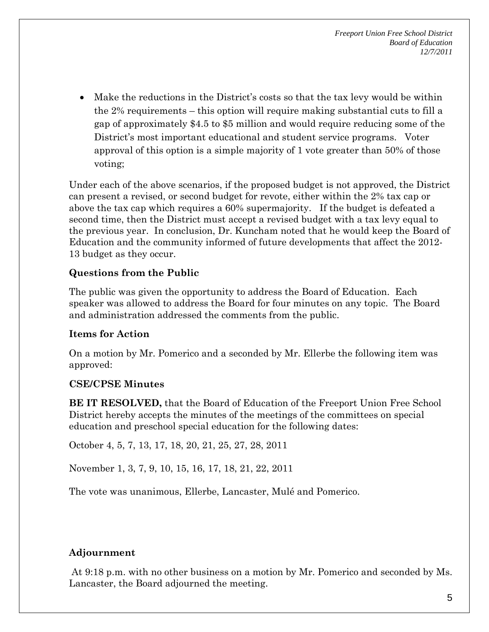Make the reductions in the District's costs so that the tax levy would be within the 2% requirements – this option will require making substantial cuts to fill a gap of approximately \$4.5 to \$5 million and would require reducing some of the District's most important educational and student service programs. Voter approval of this option is a simple majority of 1 vote greater than 50% of those voting;

Under each of the above scenarios, if the proposed budget is not approved, the District can present a revised, or second budget for revote, either within the 2% tax cap or above the tax cap which requires a 60% supermajority. If the budget is defeated a second time, then the District must accept a revised budget with a tax levy equal to the previous year. In conclusion, Dr. Kuncham noted that he would keep the Board of Education and the community informed of future developments that affect the 2012- 13 budget as they occur.

# **Questions from the Public**

The public was given the opportunity to address the Board of Education. Each speaker was allowed to address the Board for four minutes on any topic. The Board and administration addressed the comments from the public.

# **Items for Action**

On a motion by Mr. Pomerico and a seconded by Mr. Ellerbe the following item was approved:

#### **CSE/CPSE Minutes**

**BE IT RESOLVED,** that the Board of Education of the Freeport Union Free School District hereby accepts the minutes of the meetings of the committees on special education and preschool special education for the following dates:

October 4, 5, 7, 13, 17, 18, 20, 21, 25, 27, 28, 2011

November 1, 3, 7, 9, 10, 15, 16, 17, 18, 21, 22, 2011

The vote was unanimous, Ellerbe, Lancaster, Mulé and Pomerico.

# **Adjournment**

 At 9:18 p.m. with no other business on a motion by Mr. Pomerico and seconded by Ms. Lancaster, the Board adjourned the meeting.